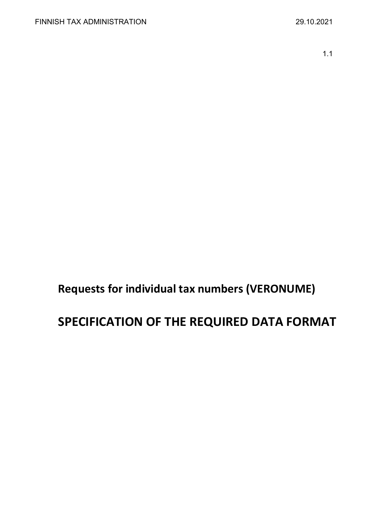1.1

**Requests for individual tax numbers (VERONUME)**

# **SPECIFICATION OF THE REQUIRED DATA FORMAT**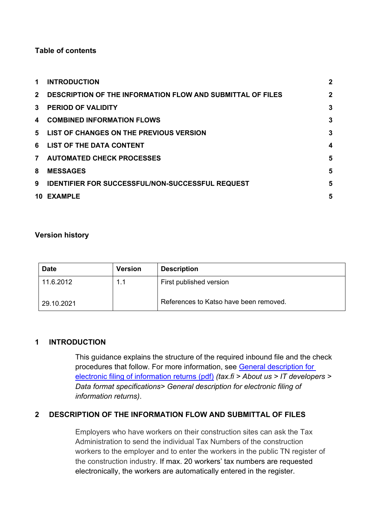## **Table of contents**

| 1              | <b>INTRODUCTION</b>                                               | $\overline{2}$ |
|----------------|-------------------------------------------------------------------|----------------|
| $2^{\circ}$    | <b>DESCRIPTION OF THE INFORMATION FLOW AND SUBMITTAL OF FILES</b> | $\overline{2}$ |
| $\mathbf{3}$   | <b>PERIOD OF VALIDITY</b>                                         | 3              |
| 4              | <b>COMBINED INFORMATION FLOWS</b>                                 | 3              |
| 5              | LIST OF CHANGES ON THE PREVIOUS VERSION                           | 3              |
|                | 6 LIST OF THE DATA CONTENT                                        | 4              |
| $\overline{7}$ | <b>AUTOMATED CHECK PROCESSES</b>                                  | 5              |
| 8              | <b>MESSAGES</b>                                                   | 5              |
| 9              | <b>IDENTIFIER FOR SUCCESSFUL/NON-SUCCESSFUL REQUEST</b>           | 5              |
| 10             | <b>EXAMPLE</b>                                                    | 5              |

### **Version history**

| <b>Date</b> | <b>Version</b> | <b>Description</b>                     |
|-------------|----------------|----------------------------------------|
| 11.6.2012   | 1.1            | First published version                |
| 29.10.2021  |                | References to Katso have been removed. |

#### <span id="page-1-0"></span>**1 INTRODUCTION**

This guidance explains the structure of the required inbound file and the check procedures that follow. For more information, see [General description for](https://www.vero.fi/globalassets/tietoa-verohallinnosta/ohjelmistokehittajille/finnish-tax-administration_electronic-filing-of-information-returns-general-description.pdf)  [electronic filing of information returns \(pdf\)](https://www.vero.fi/globalassets/tietoa-verohallinnosta/ohjelmistokehittajille/finnish-tax-administration_electronic-filing-of-information-returns-general-description.pdf) *(tax.fi > About us > IT developers > Data format specifications> General description for electronic filing of information returns)*.

#### <span id="page-1-1"></span>**2 DESCRIPTION OF THE INFORMATION FLOW AND SUBMITTAL OF FILES**

Employers who have workers on their construction sites can ask the Tax Administration to send the individual Tax Numbers of the construction workers to the employer and to enter the workers in the public TN register of the construction industry. If max. 20 workers' tax numbers are requested electronically, the workers are automatically entered in the register.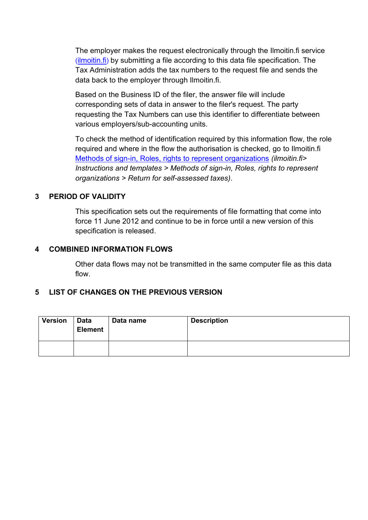The employer makes the request electronically through the Ilmoitin.fi service  $(i$ lmoitin.fi) by submitting a file according to this data file specification. The Tax Administration adds the tax numbers to the request file and sends the data back to the employer through Ilmoitin.fi.

Based on the Business ID of the filer, the answer file will include corresponding sets of data in answer to the filer's request. The party requesting the Tax Numbers can use this identifier to differentiate between various employers/sub-accounting units.

To check the method of identification required by this information flow, the role required and where in the flow the authorisation is checked, go to Ilmoitin.fi [Methods of sign-in, Roles, rights to represent organizations](https://www.ilmoitin.fi/webtamo/sivut/IlmoituslajiRoolit?kieli=en&tv=VERONUME) *(ilmoitin.fi> Instructions and templates > Methods of sign-in, Roles, rights to represent organizations > Return for self-assessed taxes)*.

## <span id="page-2-0"></span>**3 PERIOD OF VALIDITY**

This specification sets out the requirements of file formatting that come into force 11 June 2012 and continue to be in force until a new version of this specification is released.

## <span id="page-2-1"></span>**4 COMBINED INFORMATION FLOWS**

Other data flows may not be transmitted in the same computer file as this data flow.

# <span id="page-2-2"></span>**5 LIST OF CHANGES ON THE PREVIOUS VERSION**

| <b>Version</b> | Data<br><b>Element</b> | Data name | <b>Description</b> |
|----------------|------------------------|-----------|--------------------|
|                |                        |           |                    |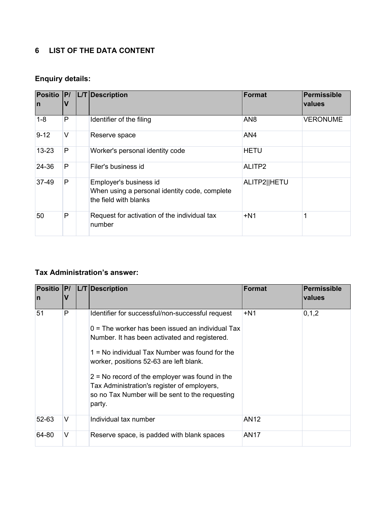# <span id="page-3-0"></span>**6 LIST OF THE DATA CONTENT**

# **Enquiry details:**

| Positio  P/<br>In. | V      | L/T Description                                                                                  | Format          | Permissible<br>values |
|--------------------|--------|--------------------------------------------------------------------------------------------------|-----------------|-----------------------|
| $1 - 8$            | P      | Identifier of the filing                                                                         | AN <sub>8</sub> | <b>VERONUME</b>       |
| $9 - 12$           | $\vee$ | Reserve space                                                                                    | AN4             |                       |
| $13 - 23$          | P      | Worker's personal identity code                                                                  | <b>HETU</b>     |                       |
| 24-36              | P      | Filer's business id                                                                              | ALITP2          |                       |
| 37-49              | P      | Employer's business id<br>When using a personal identity code, complete<br>the field with blanks | ALITP2  HETU    |                       |
| 50                 | P      | Request for activation of the individual tax<br>number                                           | $+N1$           |                       |

# **Tax Administration's answer:**

| <b>Positio</b><br>In | P <br>V | L/T Description                                                                                                                                                                                                                                                                                                                                                                                                        | <b>Format</b>    | <b>Permissible</b><br>values |
|----------------------|---------|------------------------------------------------------------------------------------------------------------------------------------------------------------------------------------------------------------------------------------------------------------------------------------------------------------------------------------------------------------------------------------------------------------------------|------------------|------------------------------|
| 51                   | P       | Identifier for successful/non-successful request<br>$0$ = The worker has been issued an individual Tax<br>Number. It has been activated and registered.<br>$1 =$ No individual Tax Number was found for the<br>worker, positions 52-63 are left blank.<br>$2$ = No record of the employer was found in the<br>Tax Administration's register of employers,<br>so no Tax Number will be sent to the requesting<br>party. | $+N1$            | 0, 1, 2                      |
| 52-63                | V       | Individual tax number                                                                                                                                                                                                                                                                                                                                                                                                  | AN <sub>12</sub> |                              |
| 64-80                | V       | Reserve space, is padded with blank spaces                                                                                                                                                                                                                                                                                                                                                                             | AN17             |                              |